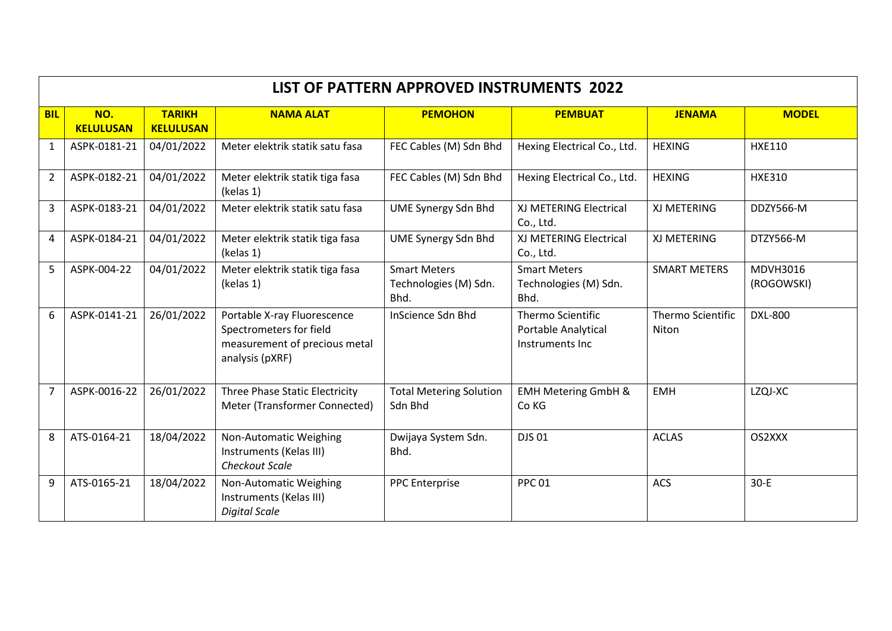| LIST OF PATTERN APPROVED INSTRUMENTS 2022 |                         |                                   |                                                                                                            |                                                      |                                                             |                                   |                        |
|-------------------------------------------|-------------------------|-----------------------------------|------------------------------------------------------------------------------------------------------------|------------------------------------------------------|-------------------------------------------------------------|-----------------------------------|------------------------|
| <b>BIL</b>                                | NO.<br><b>KELULUSAN</b> | <b>TARIKH</b><br><b>KELULUSAN</b> | <b>NAMA ALAT</b>                                                                                           | <b>PEMOHON</b>                                       | <b>PEMBUAT</b>                                              | <b>JENAMA</b>                     | <b>MODEL</b>           |
| $\mathbf{1}$                              | ASPK-0181-21            | 04/01/2022                        | Meter elektrik statik satu fasa                                                                            | FEC Cables (M) Sdn Bhd                               | Hexing Electrical Co., Ltd.                                 | <b>HEXING</b>                     | <b>HXE110</b>          |
| $\overline{2}$                            | ASPK-0182-21            | 04/01/2022                        | Meter elektrik statik tiga fasa<br>(kelas 1)                                                               | FEC Cables (M) Sdn Bhd                               | Hexing Electrical Co., Ltd.                                 | <b>HEXING</b>                     | <b>HXE310</b>          |
| 3                                         | ASPK-0183-21            | 04/01/2022                        | Meter elektrik statik satu fasa                                                                            | UME Synergy Sdn Bhd                                  | XJ METERING Electrical<br>Co., Ltd.                         | XJ METERING                       | DDZY566-M              |
| 4                                         | ASPK-0184-21            | 04/01/2022                        | Meter elektrik statik tiga fasa<br>(kelas 1)                                                               | <b>UME Synergy Sdn Bhd</b>                           | XJ METERING Electrical<br>Co., Ltd.                         | XJ METERING                       | DTZY566-M              |
| 5                                         | ASPK-004-22             | 04/01/2022                        | Meter elektrik statik tiga fasa<br>(kelas 1)                                                               | <b>Smart Meters</b><br>Technologies (M) Sdn.<br>Bhd. | <b>Smart Meters</b><br>Technologies (M) Sdn.<br>Bhd.        | <b>SMART METERS</b>               | MDVH3016<br>(ROGOWSKI) |
| 6                                         | ASPK-0141-21            | 26/01/2022                        | Portable X-ray Fluorescence<br>Spectrometers for field<br>measurement of precious metal<br>analysis (pXRF) | InScience Sdn Bhd                                    | Thermo Scientific<br>Portable Analytical<br>Instruments Inc | <b>Thermo Scientific</b><br>Niton | <b>DXL-800</b>         |
| $\overline{7}$                            | ASPK-0016-22            | 26/01/2022                        | <b>Three Phase Static Electricity</b><br>Meter (Transformer Connected)                                     | <b>Total Metering Solution</b><br>Sdn Bhd            | <b>EMH Metering GmbH &amp;</b><br>Co KG                     | <b>EMH</b>                        | LZQJ-XC                |
| 8                                         | ATS-0164-21             | 18/04/2022                        | Non-Automatic Weighing<br>Instruments (Kelas III)<br><b>Checkout Scale</b>                                 | Dwijaya System Sdn.<br>Bhd.                          | <b>DJS 01</b>                                               | <b>ACLAS</b>                      | OS2XXX                 |
| 9                                         | ATS-0165-21             | 18/04/2022                        | Non-Automatic Weighing<br>Instruments (Kelas III)<br><b>Digital Scale</b>                                  | <b>PPC</b> Enterprise                                | <b>PPC 01</b>                                               | ACS                               | $30-E$                 |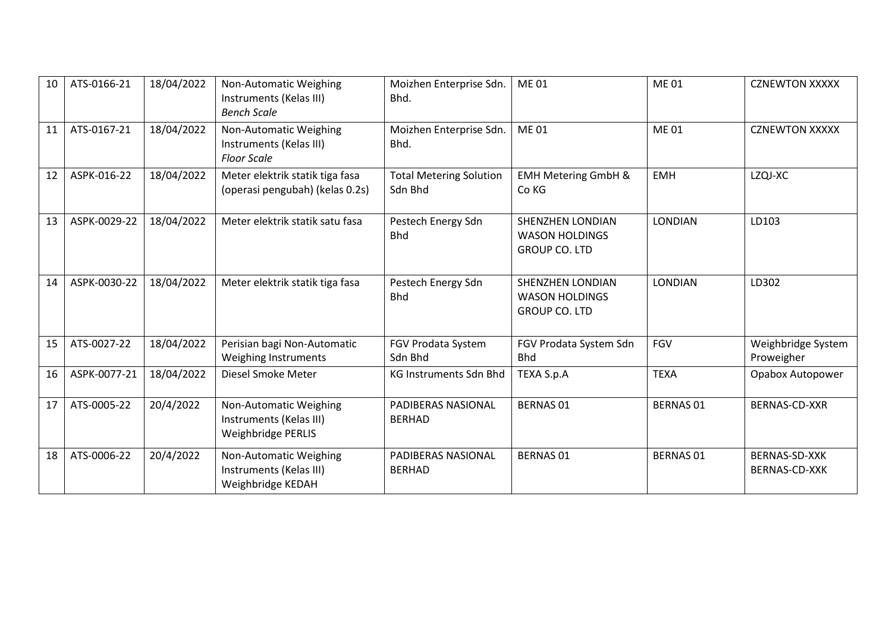| 10 | ATS-0166-21  | 18/04/2022 | Non-Automatic Weighing<br>Instruments (Kelas III)<br><b>Bench Scale</b> | Moizhen Enterprise Sdn.<br>Bhd.           | <b>ME01</b>                                                              | <b>ME01</b>      | <b>CZNEWTON XXXXX</b>            |
|----|--------------|------------|-------------------------------------------------------------------------|-------------------------------------------|--------------------------------------------------------------------------|------------------|----------------------------------|
| 11 | ATS-0167-21  | 18/04/2022 | Non-Automatic Weighing<br>Instruments (Kelas III)<br><b>Floor Scale</b> | Moizhen Enterprise Sdn.<br>Bhd.           | <b>ME01</b>                                                              | <b>ME01</b>      | <b>CZNEWTON XXXXX</b>            |
| 12 | ASPK-016-22  | 18/04/2022 | Meter elektrik statik tiga fasa<br>(operasi pengubah) (kelas 0.2s)      | <b>Total Metering Solution</b><br>Sdn Bhd | <b>EMH Metering GmbH &amp;</b><br>Co KG                                  | <b>EMH</b>       | LZQJ-XC                          |
| 13 | ASPK-0029-22 | 18/04/2022 | Meter elektrik statik satu fasa                                         | Pestech Energy Sdn<br><b>Bhd</b>          | <b>SHENZHEN LONDIAN</b><br><b>WASON HOLDINGS</b><br><b>GROUP CO. LTD</b> | <b>LONDIAN</b>   | LD103                            |
| 14 | ASPK-0030-22 | 18/04/2022 | Meter elektrik statik tiga fasa                                         | Pestech Energy Sdn<br><b>Bhd</b>          | SHENZHEN LONDIAN<br><b>WASON HOLDINGS</b><br><b>GROUP CO. LTD</b>        | <b>LONDIAN</b>   | LD302                            |
| 15 | ATS-0027-22  | 18/04/2022 | Perisian bagi Non-Automatic<br>Weighing Instruments                     | FGV Prodata System<br>Sdn Bhd             | FGV Prodata System Sdn<br><b>Bhd</b>                                     | <b>FGV</b>       | Weighbridge System<br>Proweigher |
| 16 | ASPK-0077-21 | 18/04/2022 | Diesel Smoke Meter                                                      | <b>KG Instruments Sdn Bhd</b>             | TEXA S.p.A                                                               | <b>TEXA</b>      | Opabox Autopower                 |
| 17 | ATS-0005-22  | 20/4/2022  | Non-Automatic Weighing<br>Instruments (Kelas III)<br>Weighbridge PERLIS | PADIBERAS NASIONAL<br><b>BERHAD</b>       | <b>BERNAS 01</b>                                                         | <b>BERNAS 01</b> | BERNAS-CD-XXR                    |
| 18 | ATS-0006-22  | 20/4/2022  | Non-Automatic Weighing<br>Instruments (Kelas III)<br>Weighbridge KEDAH  | PADIBERAS NASIONAL<br><b>BERHAD</b>       | <b>BERNAS 01</b>                                                         | <b>BERNAS 01</b> | BERNAS-SD-XXK<br>BERNAS-CD-XXK   |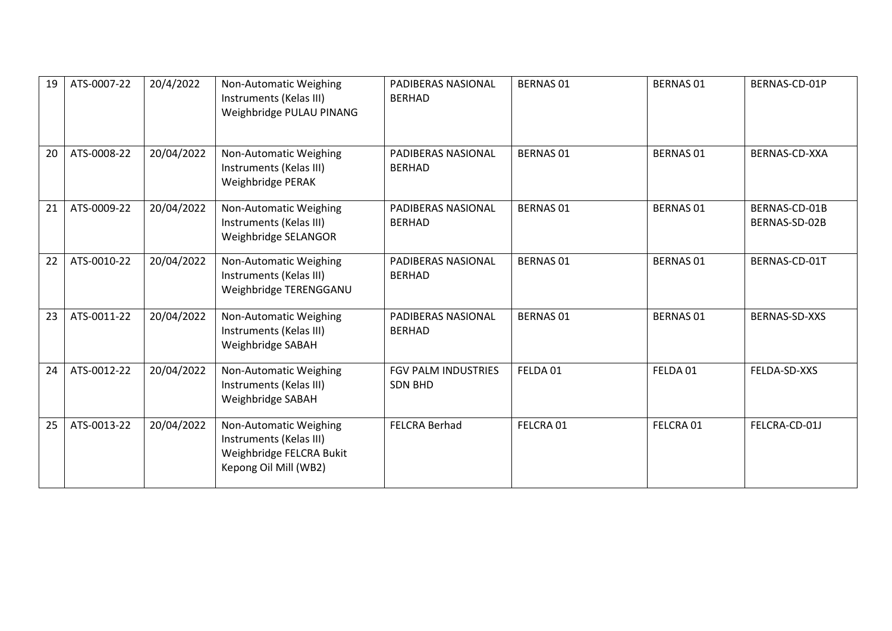| 19 | ATS-0007-22 | 20/4/2022  | Non-Automatic Weighing<br>Instruments (Kelas III)<br>Weighbridge PULAU PINANG                          | PADIBERAS NASIONAL<br><b>BERHAD</b>          | <b>BERNAS 01</b> | <b>BERNAS 01</b> | BERNAS-CD-01P                  |
|----|-------------|------------|--------------------------------------------------------------------------------------------------------|----------------------------------------------|------------------|------------------|--------------------------------|
| 20 | ATS-0008-22 | 20/04/2022 | Non-Automatic Weighing<br>Instruments (Kelas III)<br>Weighbridge PERAK                                 | PADIBERAS NASIONAL<br><b>BERHAD</b>          | <b>BERNAS 01</b> | <b>BERNAS 01</b> | BERNAS-CD-XXA                  |
| 21 | ATS-0009-22 | 20/04/2022 | Non-Automatic Weighing<br>Instruments (Kelas III)<br>Weighbridge SELANGOR                              | PADIBERAS NASIONAL<br><b>BERHAD</b>          | <b>BERNAS 01</b> | <b>BERNAS 01</b> | BERNAS-CD-01B<br>BERNAS-SD-02B |
| 22 | ATS-0010-22 | 20/04/2022 | Non-Automatic Weighing<br>Instruments (Kelas III)<br>Weighbridge TERENGGANU                            | PADIBERAS NASIONAL<br><b>BERHAD</b>          | <b>BERNAS 01</b> | <b>BERNAS 01</b> | BERNAS-CD-01T                  |
| 23 | ATS-0011-22 | 20/04/2022 | Non-Automatic Weighing<br>Instruments (Kelas III)<br>Weighbridge SABAH                                 | <b>PADIBERAS NASIONAL</b><br><b>BERHAD</b>   | <b>BERNAS 01</b> | <b>BERNAS 01</b> | BERNAS-SD-XXS                  |
| 24 | ATS-0012-22 | 20/04/2022 | Non-Automatic Weighing<br>Instruments (Kelas III)<br>Weighbridge SABAH                                 | <b>FGV PALM INDUSTRIES</b><br><b>SDN BHD</b> | FELDA 01         | FELDA 01         | FELDA-SD-XXS                   |
| 25 | ATS-0013-22 | 20/04/2022 | Non-Automatic Weighing<br>Instruments (Kelas III)<br>Weighbridge FELCRA Bukit<br>Kepong Oil Mill (WB2) | <b>FELCRA Berhad</b>                         | FELCRA 01        | FELCRA 01        | FELCRA-CD-01J                  |